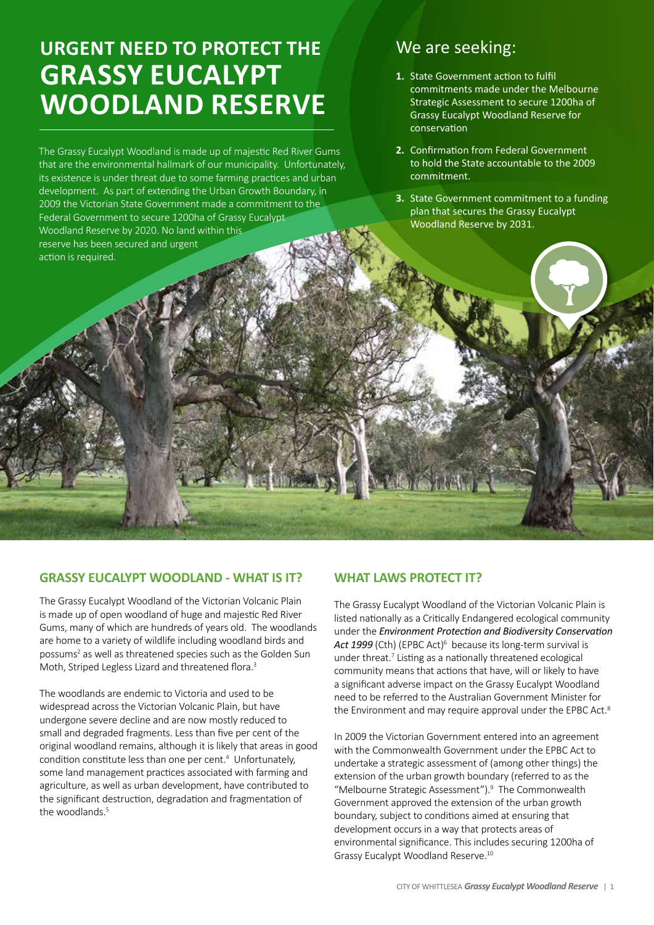# **URGENT NEED to protect the GRASSY EUCALYPT WOODLAND RESERVE**

The Grassy Eucalypt Woodland is made up of majestic Red River Gums that are the environmental hallmark of our municipality. Unfortunately, its existence is under threat due to some farming practices and urban development. As part of extending the Urban Growth Boundary, in 2009 the Victorian State Government made a commitment to the Federal Government to secure 1200ha of Grassy Eucalypt Woodland Reserve by 2020. No land within this reserve has been secured and urgent action is required.

# We are seeking:

- 1. State Government action to fulfil commitments made under the Melbourne Strategic Assessment to secure 1200ha of Grassy Eucalypt Woodland Reserve for conservation
- **2.** Confirmation from Federal Government to hold the State accountable to the 2009 commitment.
- **3.** State Government commitment to a funding plan that secures the Grassy Eucalypt Woodland Reserve by 2031.

# **GRASSY EUCALYPT WOODLAND - WHAT IS IT?**

The Grassy Eucalypt Woodland of the Victorian Volcanic Plain is made up of open woodland of huge and majestic Red River Gums, many of which are hundreds of years old. The woodlands are home to a variety of wildlife including woodland birds and possums<sup>2</sup> as well as threatened species such as the Golden Sun Moth, Striped Legless Lizard and threatened flora.<sup>3</sup>

The woodlands are endemic to Victoria and used to be widespread across the Victorian Volcanic Plain, but have undergone severe decline and are now mostly reduced to small and degraded fragments. Less than five per cent of the original woodland remains, although it is likely that areas in good condition constitute less than one per cent.<sup>4</sup> Unfortunately, some land management practices associated with farming and agriculture, as well as urban development, have contributed to the significant destruction, degradation and fragmentation of the woodlands.<sup>5</sup>

# **WHAT LAWS PROTECT IT?**

The Grassy Eucalypt Woodland of the Victorian Volcanic Plain is listed nationally as a Critically Endangered ecological community under the *Environment Protection and Biodiversity Conservation*  Act 1999 (Cth) (EPBC Act)<sup>6</sup> because its long-term survival is under threat.<sup>7</sup> Listing as a nationally threatened ecological community means that actions that have, will or likely to have a significant adverse impact on the Grassy Eucalypt Woodland need to be referred to the Australian Government Minister for the Environment and may require approval under the EPBC Act.<sup>8</sup>

In 2009 the Victorian Government entered into an agreement with the Commonwealth Government under the EPBC Act to undertake a strategic assessment of (among other things) the extension of the urban growth boundary (referred to as the "Melbourne Strategic Assessment").<sup>9</sup> The Commonwealth Government approved the extension of the urban growth boundary, subject to conditions aimed at ensuring that development occurs in a way that protects areas of environmental significance. This includes securing 1200ha of Grassy Eucalypt Woodland Reserve.10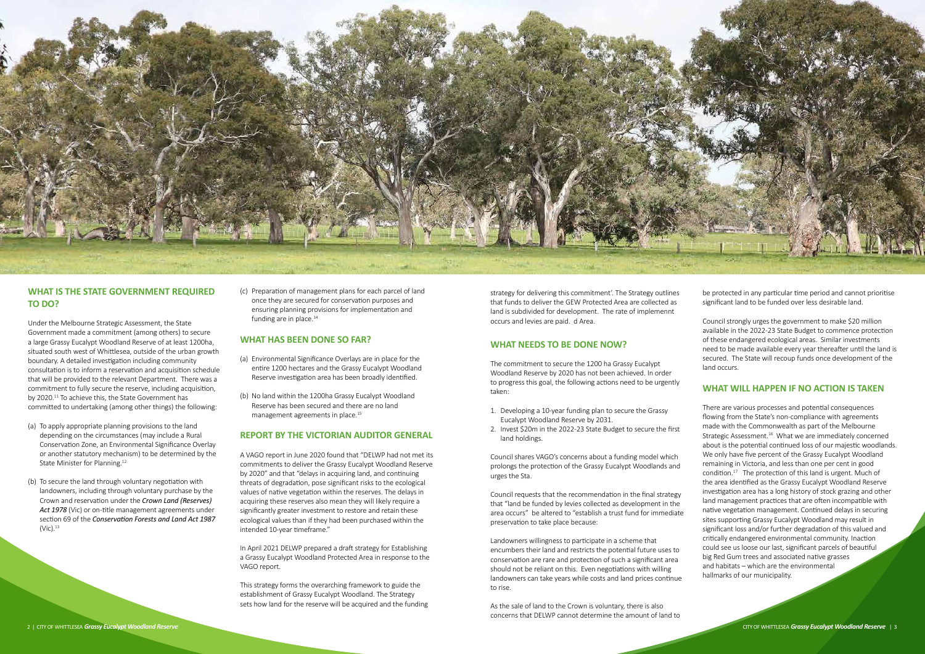strategy for delivering this commitment'. The Strategy outlines that funds to deliver the GEW Protected Area are collected as land is subdivided for development. The rate of implemennt occurs and levies are paid. d Area.

#### **WHAT NEEDS TO BE DONE NOW?**

The commitment to secure the 1200 ha Grassy Eucalypt Woodland Reserve by 2020 has not been achieved. In order to progress this goal, the following actions need to be urgently taken:

- 1. Developing a 10-year funding plan to secure the Grassy Eucalypt Woodland Reserve by 2031.
- 2. Invest \$20m in the 2022-23 State Budget to secure the first land holdings.

Council shares VAGO's concerns about a funding model which prolongs the protection of the Grassy Eucalypt Woodlands and urges the Sta.

Council requests that the recommendation in the final strategy that "land be funded by levies collected as development in the area occurs" be altered to "establish a trust fund for immediate preservation to take place because:

Landowners willingness to participate in a scheme that encumbers their land and restricts the potential future uses to conservation are rare and protection of such a significant area should not be reliant on this. Even negotiations with willing landowners can take years while costs and land prices continue to rise.

As the sale of land to the Crown is voluntary, there is also concerns that DELWP cannot determine the amount of land to be protected in any particular time period and cannot prioritise significant land to be funded over less desirable land.

Council strongly urges the government to make \$20 million available in the 2022-23 State Budget to commence protection of these endangered ecological areas. Similar investments need to be made available every year thereafter until the land is secured. The State will recoup funds once development of the land occurs.

- (a) To apply appropriate planning provisions to the land depending on the circumstances (may include a Rural Conservation Zone, an Environmental Significance Overlay or another statutory mechanism) to be determined by the State Minister for Planning.<sup>12</sup>
- (b) To secure the land through voluntary negotiation with landowners, including through voluntary purchase by the Crown and reservation under the *Crown Land (Reserves) Act 1978* (Vic) or on-title management agreements under section 69 of the *Conservation Forests and Land Act 1987*  $(ViC).<sup>13</sup>$

# **WHAT WILL HAPPEN IF NO ACTION IS TAKEN**

(c) Preparation of management plans for each parcel of land once they are secured for conservation purposes and ensuring planning provisions for implementation and funding are in place.<sup>14</sup>

> There are various processes and potential consequences flowing from the State's non-compliance with agreements made with the Commonwealth as part of the Melbourne Strategic Assessment.<sup>16</sup> What we are immediately concerned about is the potential continued loss of our majestic woodlands. We only have five percent of the Grassy Eucalypt Woodland remaining in Victoria, and less than one per cent in good condition.17 The protection of this land is urgent. Much of the area identified as the Grassy Eucalypt Woodland Reserve investigation area has a long history of stock grazing and other land management practices that are often incompatible with native vegetation management. Continued delays in securing sites supporting Grassy Eucalypt Woodland may result in significant loss and/or further degradation of this valued and critically endangered environmental community. Inaction could see us loose our last, significant parcels of beautiful big Red Gum trees and associated native grasses and habitats – which are the environmental hallmarks of our municipality.



# **WHAT IS THE STATE GOVERNMENT REQUIRED TO DO?**

Under the Melbourne Strategic Assessment, the State Government made a commitment (among others) to secure a large Grassy Eucalypt Woodland Reserve of at least 1200ha, situated south west of Whittlesea, outside of the urban growth boundary. A detailed investigation including community consultation is to inform a reservation and acquisition schedule that will be provided to the relevant Department. There was a commitment to fully secure the reserve, including acquisition, by 2020.<sup>11</sup> To achieve this, the State Government has committed to undertaking (among other things) the following:

#### **WHAT HAS BEEN DONE SO FAR?**

- (a) Environmental Significance Overlays are in place for the entire 1200 hectares and the Grassy Eucalypt Woodland Reserve investigation area has been broadly identified.
- (b) No land within the 1200ha Grassy Eucalypt Woodland Reserve has been secured and there are no land management agreements in place.<sup>15</sup>

#### **REPORT BY THE VICTORIAN AUDITOR GENERAL**

A VAGO report in June 2020 found that "DELWP had not met its commitments to deliver the Grassy Eucalypt Woodland Reserve by 2020" and that "delays in acquiring land, and continuing threats of degradation, pose significant risks to the ecological values of native vegetation within the reserves. The delays in acquiring these reserves also mean they will likely require a significantly greater investment to restore and retain these ecological values than if they had been purchased within the intended 10‐year timeframe."

In April 2021 DELWP prepared a draft strategy for Establishing a Grassy Eucalypt Woodland Protected Area in response to the VAGO report.

This strategy forms the overarching framework to guide the establishment of Grassy Eucalypt Woodland. The Strategy sets how land for the reserve will be acquired and the funding